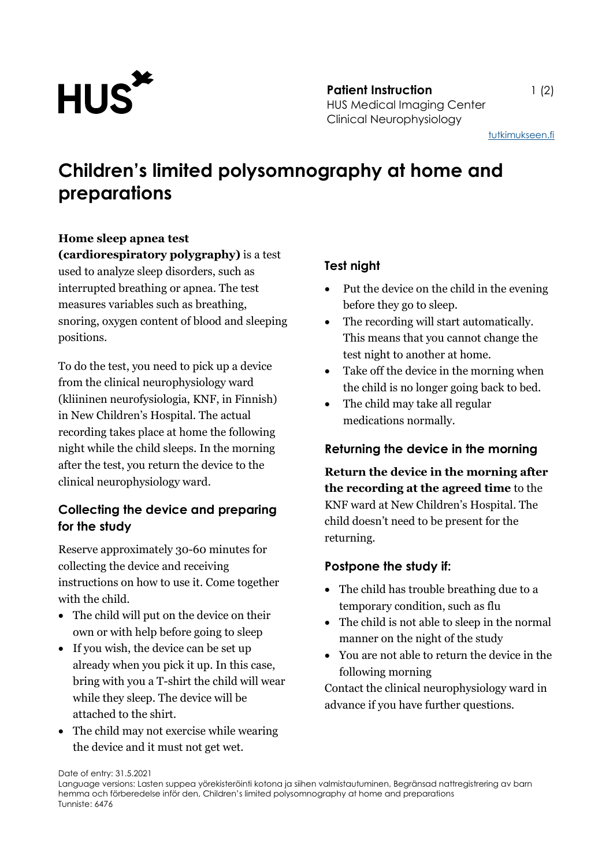

**Patient Instruction** 1 (2) HUS Medical Imaging Center Clinical Neurophysiology

[tutkimukseen.fi](http://www.tutkimukseen.fi/)

# **Children's limited polysomnography at home and preparations**

#### **Home sleep apnea test**

**(cardiorespiratory polygraphy)** is a test used to analyze sleep disorders, such as interrupted breathing or apnea. The test measures variables such as breathing, snoring, oxygen content of blood and sleeping positions.

To do the test, you need to pick up a device from the clinical neurophysiology ward (kliininen neurofysiologia, KNF, in Finnish) in New Children's Hospital. The actual recording takes place at home the following night while the child sleeps. In the morning after the test, you return the device to the clinical neurophysiology ward.

### **Collecting the device and preparing for the study**

Reserve approximately 30-60 minutes for collecting the device and receiving instructions on how to use it. Come together with the child.

- The child will put on the device on their own or with help before going to sleep
- If you wish, the device can be set up already when you pick it up. In this case, bring with you a T-shirt the child will wear while they sleep. The device will be attached to the shirt.
- The child may not exercise while wearing the device and it must not get wet.

## **Test night**

- Put the device on the child in the evening before they go to sleep.
- The recording will start automatically. This means that you cannot change the test night to another at home.
- Take off the device in the morning when the child is no longer going back to bed.
- The child may take all regular medications normally.

### **Returning the device in the morning**

**Return the device in the morning after the recording at the agreed time** to the KNF ward at New Children's Hospital. The child doesn't need to be present for the returning.

### **Postpone the study if:**

- The child has trouble breathing due to a temporary condition, such as flu
- The child is not able to sleep in the normal manner on the night of the study
- You are not able to return the device in the following morning

Contact the clinical neurophysiology ward in advance if you have further questions.

Date of entry: 31.5.2021

Language versions: Lasten suppea yörekisteröinti kotona ja siihen valmistautuminen, Begränsad nattregistrering av barn hemma och förberedelse inför den, Children's limited polysomnography at home and preparations Tunniste: 6476